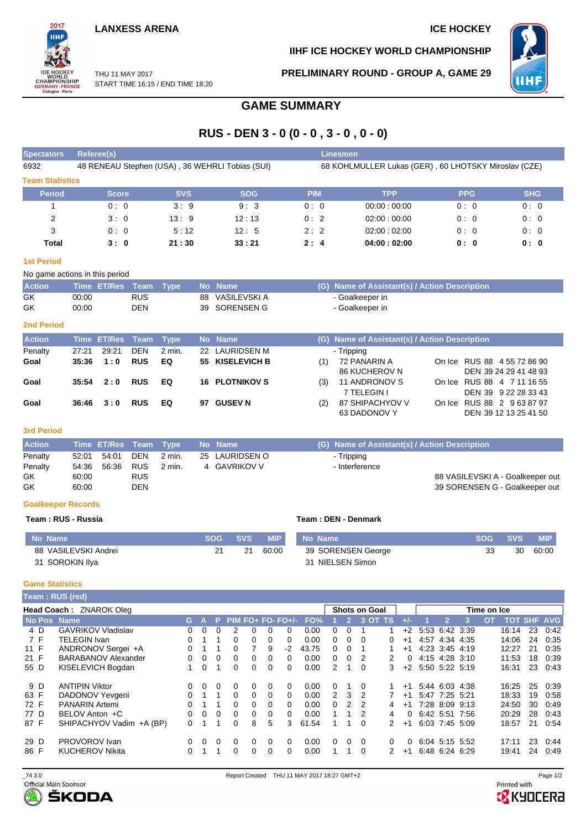## **LANXESS ARENA ICE HOCKEY**



**IIHF ICE HOCKEY WORLD CHAMPIONSHIP**

**HHI** 

THU 11 MAY 2017 START TIME 16:15 / END TIME 18:20 **PRELIMINARY ROUND - GROUP A, GAME 29**

# **GAME SUMMARY**

# **RUS - DEN 3 - 0 (0 - 0 , 3 - 0 , 0 - 0)**

| <b>Spectators</b>      | Referee(s)                                      |            |            | <b>Linesmen</b> |                                                      |            |            |
|------------------------|-------------------------------------------------|------------|------------|-----------------|------------------------------------------------------|------------|------------|
| 6932                   | 48 RENEAU Stephen (USA), 36 WEHRLI Tobias (SUI) |            |            |                 | 68 KOHLMULLER Lukas (GER), 60 LHOTSKY Miroslav (CZE) |            |            |
| <b>Team Statistics</b> |                                                 |            |            |                 |                                                      |            |            |
| <b>Period</b>          | <b>Score</b>                                    | <b>SVS</b> | <b>SOG</b> | <b>PIM</b>      | <b>TPP</b>                                           | <b>PPG</b> | <b>SHG</b> |
|                        | 0:0                                             | 3:9        | 9:3        | 0:0             | 00:00:00:00                                          | 0:0        | 0:0        |
| 2                      | 3:0                                             | 13:9       | 12:13      | 0:2             | 02:00:00:00                                          | 0:0        | 0:0        |
| 3                      | 0:0                                             | 5:12       | 12:5       | 2:2             | 02:00:02:00                                          | 0:0        | 0:0        |
| Total                  | 3:0                                             | 21:30      | 33:21      | 2:4             | 04:00:02:00                                          | 0: 0       | 0:0        |

#### **1st Period**

| No game actions in this period |                       |            |  |  |                 |  |                                               |  |  |  |  |  |  |
|--------------------------------|-----------------------|------------|--|--|-----------------|--|-----------------------------------------------|--|--|--|--|--|--|
| <b>Action</b>                  | Time ET/Res Team Type |            |  |  | No Name         |  | (G) Name of Assistant(s) / Action Description |  |  |  |  |  |  |
| GK                             | 00:00                 | <b>RUS</b> |  |  | 88 VASILEVSKI A |  | - Goalkeeper in                               |  |  |  |  |  |  |
| GK                             | 00:00                 | DEN        |  |  | 39 SORENSEN G   |  | - Goalkeeper in                               |  |  |  |  |  |  |

### **2nd Period**

| <b>Action</b> |       | Time ET/Res Team Type |            |        |    | No Name               |     | (G) Name of Assistant(s) / Action Description |                             |
|---------------|-------|-----------------------|------------|--------|----|-----------------------|-----|-----------------------------------------------|-----------------------------|
| Penalty       | 27:21 | 29:21                 | <b>DEN</b> | 2 min. |    | 22 LAURIDSEN M        |     | - Tripping                                    |                             |
| Goal          | 35:36 | 1:0                   | <b>RUS</b> | EQ     |    | 55 KISELEVICH B       | (1) | 72 PANARIN A                                  | On Ice RUS 88 4 55 72 86 90 |
|               |       |                       |            |        |    |                       |     | 86 KUCHEROV N                                 | DEN 39 24 29 41 48 93       |
| Goal          | 35:54 | 2:0                   | <b>RUS</b> | EQ     |    | <b>16 PLOTNIKOV S</b> | (3) | 11 ANDRONOV S                                 | On Ice RUS 88 4 7 11 16 55  |
|               |       |                       |            |        |    |                       |     | 7 TELEGIN I                                   | DEN 39 9 22 28 33 43        |
| Goal          | 36:46 | 3:0                   | <b>RUS</b> | EQ     | 97 | <b>GUSEV N</b>        | (2) | 87 SHIPACHYOV V                               | On Ice RUS 88 2 9 63 87 97  |
|               |       |                       |            |        |    |                       |     | 63 DADONOV Y                                  | DEN 39 12 13 25 41 50       |

#### **3rd Period**

| <b>Action</b> |       | Time ET/Res Team Type |            |        | <b>No Name</b> | (G) Name of Assistant(s) / Action Description |
|---------------|-------|-----------------------|------------|--------|----------------|-----------------------------------------------|
| Penalty       | 52:01 | 54.01                 | DEN        | 2 min. | 25 LAURIDSEN O | - Tripping                                    |
| Penalty       |       |                       |            | 2 min. | 4 GAVRIKOV V   | - Interference                                |
| GK            | 60:00 |                       | <b>RUS</b> |        |                | 88 VASILEVSKI A - Goalkeeper out              |
| GK            | 60:00 |                       | DEN        |        |                | 39 SORENSEN G - Goalkeeper out                |

#### **Goalkeeper Records**

#### **Team : RUS - Russia Team : DEN - Denmark**

| No Name              | SOG SVS | <b>MIP</b> | <b>No Name</b>     | SOG SVS |    | <b>MIP</b> |
|----------------------|---------|------------|--------------------|---------|----|------------|
| 88 VASILEVSKI Andrei | 21      | 60:00      | 39 SORENSEN George |         | 30 | 60:00      |
| 31 SOROKIN Ilya      |         |            | 31 NIELSEN Simon   |         |    |            |

#### **Game Statistics**

| Team: RUS (red) |                            |          |          |          |          |   |          |                       |       |   |                |                      |               |          |                     |                |                |           |                    |    |      |
|-----------------|----------------------------|----------|----------|----------|----------|---|----------|-----------------------|-------|---|----------------|----------------------|---------------|----------|---------------------|----------------|----------------|-----------|--------------------|----|------|
|                 | Head Coach: ZNAROK Oleg    |          |          |          |          |   |          |                       |       |   |                | <b>Shots on Goal</b> |               |          | Time on Ice         |                |                |           |                    |    |      |
| No Pos Name     |                            | G.       |          |          |          |   |          | $P$ PIM FO+ FO- FO+/- | FO%   |   | $\overline{2}$ | 3 OT TS              |               |          |                     | 2              |                | <b>OT</b> | <b>TOT SHF AVG</b> |    |      |
| 4 D             | <b>GAVRIKOV Vladislav</b>  | 0.       | $\Omega$ | 0        | 2        | 0 | 0        | <sup>0</sup>          | 0.00  | 0 | $\Omega$       |                      |               | $+2$     |                     | 5:53 6:42 3:39 |                |           | 16:14              | 23 | 0.42 |
| 7 F             | <b>TELEGIN Ivan</b>        | 0        |          |          | 0        | 0 | 0        | 0                     | 0.00  | 0 | 0              | $\Omega$             | 0             | $+1$     |                     | 4:57 4:34 4:35 |                |           | 14:06              | 24 | 0:35 |
| 11 F            | ANDRONOV Sergei +A         | 0.       |          |          |          |   | 9        | $-2$                  | 43.75 | 0 | $\Omega$       |                      |               | $+1$     |                     | 4:23 3:45 4:19 |                |           | 12:27              | 21 | 0:35 |
| 21 F            | <b>BARABANOV Alexander</b> | 0.       | 0        | $\Omega$ | 0        | 0 | 0        | 0                     | 0.00  | 0 | $\Omega$       | 2                    | 2             | $\Omega$ |                     |                | 4:15 4:28 3:10 |           | 11:53              | 18 | 0.39 |
| 55 D            | KISELEVICH Bogdan          |          | $\Omega$ |          | 0        | 0 | 0        | 0                     | 0.00  | 2 | 1              | $\Omega$             | 3             |          | $+2$ 5:50 5:22 5:19 |                |                |           | 16:31              | 23 | 0:43 |
| 9 D             | <b>ANTIPIN Viktor</b>      | $\Omega$ | $\Omega$ | $\Omega$ | 0        | 0 | 0        | $\Omega$              | 0.00  | 0 |                | $\Omega$             |               | $+1$     |                     |                | 5:44 6:03 4:38 |           | 16:25              | 25 | 0:39 |
| 63 F            | DADONOV Yevgeni            | 0        |          |          | $\Omega$ | 0 | $\Omega$ | 0                     | 0.00  | 2 | 3              | 2                    |               | $+1$     |                     | 5:47 7:25 5:21 |                |           | 18:33              | 19 | 0:58 |
| 72 F            | <b>PANARIN Artemi</b>      | ∩        |          |          | 0        | 0 | 0        | 0                     | 0.00  | 0 | $\mathcal{P}$  | $\overline{2}$       | 4             | $+1$     | 7:28 8:09 9:13      |                |                |           | 24:50              | 30 | 0.49 |
| 77 D            | BELOV Anton +C             | 0.       | $\Omega$ | $\Omega$ | $\Omega$ | 0 | 0        | 0                     | 0.00  |   | 1              | 2                    | 4             | $\Omega$ | 6:42 5:51 7:56      |                |                |           | 20:29              | 28 | 0:43 |
| 87 F            | SHIPACHYOV Vadim +A (BP)   | 0.       |          |          | 0        | 8 | 5        | 3.                    | 61.54 |   | 1              | $\Omega$             | $\mathcal{P}$ | $+1$     |                     |                | 6:03 7:45 5:09 |           | 18:57              | 21 | 0:54 |
| 29 D            | PROVOROV Ivan              | $\Omega$ | $\Omega$ | 0        | 0        | 0 | 0        | $\Omega$              | 0.00  | 0 | $\Omega$       | $\Omega$             | 0             | $\Omega$ |                     |                | 6:04 5:15 5:52 |           | 17:11              | 23 | 0:44 |
| 86 F            | <b>KUCHEROV Nikita</b>     | 0        |          |          | 0        | 0 | 0        | 0                     | 0.00  |   |                | $\Omega$             |               | $+1$     |                     | 6:48 6:24 6:29 |                |           | 19:41              | 24 | 0.49 |